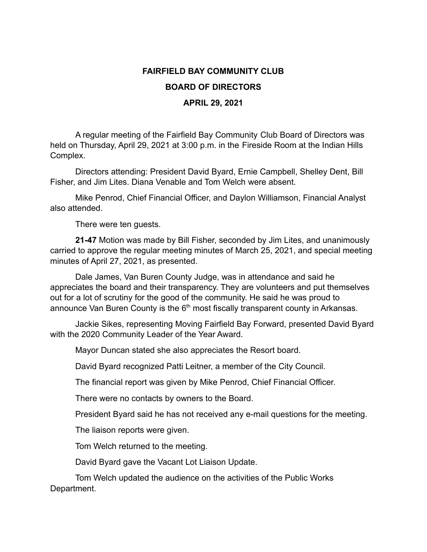## **FAIRFIELD BAY COMMUNITY CLUB**

## **BOARD OF DIRECTORS**

## **APRIL 29, 2021**

A regular meeting of the Fairfield Bay Community Club Board of Directors was held on Thursday, April 29, 2021 at 3:00 p.m. in the Fireside Room at the Indian Hills Complex.

Directors attending: President David Byard, Ernie Campbell, Shelley Dent, Bill Fisher, and Jim Lites. Diana Venable and Tom Welch were absent.

Mike Penrod, Chief Financial Officer, and Daylon Williamson, Financial Analyst also attended.

There were ten guests.

**21-47** Motion was made by Bill Fisher, seconded by Jim Lites, and unanimously carried to approve the regular meeting minutes of March 25, 2021, and special meeting minutes of April 27, 2021, as presented.

Dale James, Van Buren County Judge, was in attendance and said he appreciates the board and their transparency. They are volunteers and put themselves out for a lot of scrutiny for the good of the community. He said he was proud to announce Van Buren County is the 6<sup>th</sup> most fiscally transparent county in Arkansas.

Jackie Sikes, representing Moving Fairfield Bay Forward, presented David Byard with the 2020 Community Leader of the Year Award.

Mayor Duncan stated she also appreciates the Resort board.

David Byard recognized Patti Leitner, a member of the City Council.

The financial report was given by Mike Penrod, Chief Financial Officer.

There were no contacts by owners to the Board.

President Byard said he has not received any e-mail questions for the meeting.

The liaison reports were given.

Tom Welch returned to the meeting.

David Byard gave the Vacant Lot Liaison Update.

Tom Welch updated the audience on the activities of the Public Works Department.